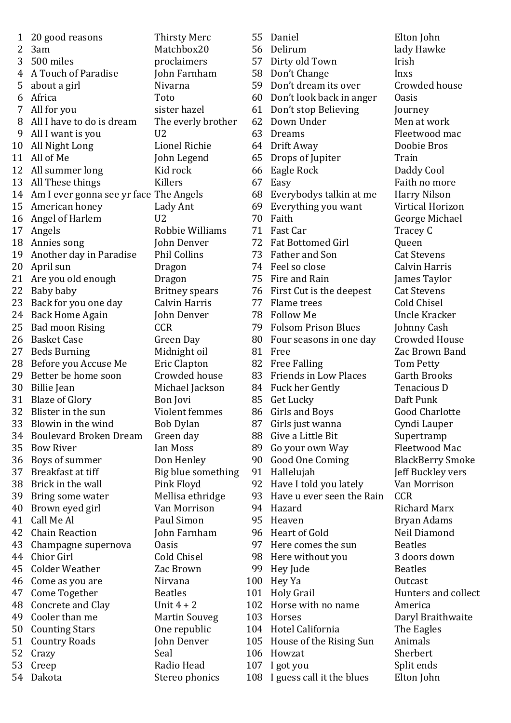| 1               | 20 good reasons                           | <b>Thirsty Merc</b>   |
|-----------------|-------------------------------------------|-----------------------|
| 2               | 3am                                       | Matchbox20            |
|                 | 3 500 miles                               | proclaimers           |
| 4               | A Touch of Paradise                       | John Farnham          |
| 5               | about a girl                              | Nivarna               |
| 6               | Africa                                    | Toto                  |
| $7\overline{ }$ | All for you                               | sister hazel          |
| 8               | All I have to do is dream                 | The everly brother    |
| 9               | All I want is you                         | U2                    |
| 10              | All Night Long                            | <b>Lionel Richie</b>  |
| 11              | All of Me                                 | John Legend           |
|                 | 12 All summer long                        | Kid rock              |
|                 | 13 All These things                       | Killers               |
|                 | 14 Am I ever gonna see yr face The Angels |                       |
|                 | 15 American honey                         | Lady Ant              |
| 16              | Angel of Harlem                           | U <sub>2</sub>        |
| 17              | Angels                                    | Robbie Williams       |
| 18              | Annies song                               | John Denver           |
|                 | 19 Another day in Paradise                | <b>Phil Collins</b>   |
| 20              | April sun                                 | Dragon                |
| 21              | Are you old enough                        | Dragon                |
| 22              | Baby baby                                 | <b>Britney</b> spears |
| 23              | Back for you one day                      | <b>Calvin Harris</b>  |
| 24              | <b>Back Home Again</b>                    | John Denver           |
|                 | 25 Bad moon Rising                        | <b>CCR</b>            |
|                 | 26 Basket Case                            | Green Day             |
| 27              | <b>Beds Burning</b>                       | Midnight oil          |
| 28              | Before you Accuse Me                      | <b>Eric Clapton</b>   |
| 29              | Better be home soon                       | Crowded house         |
| 30              | Billie Jean                               | Michael Jackson       |
| 31              | <b>Blaze of Glory</b>                     | Bon Jovi              |
| 32              | Blister in the sun                        | Violent femmes        |
| 33              | Blowin in the wind                        | <b>Bob Dylan</b>      |
| 34              | <b>Boulevard Broken Dream</b>             | Green day             |
|                 | 35 Bow River                              | <b>Ian Moss</b>       |
|                 | 36 Boys of summer                         | Don Henley            |
| 37              | Breakfast at tiff                         | Big blue something    |
| 38              | Brick in the wall                         | Pink Floyd            |
| 39              | Bring some water                          | Mellisa ethridge      |
| 40              | Brown eyed girl                           | Van Morrison          |
| 41              | Call Me Al                                | Paul Simon            |
| 42              | <b>Chain Reaction</b>                     | John Farnham          |
| 43              | Champagne supernova                       | <b>Oasis</b>          |
| 44              | <b>Chior Girl</b>                         | <b>Cold Chisel</b>    |
| 45              | <b>Colder Weather</b>                     | Zac Brown             |
| 46              | Come as you are                           | Nirvana               |
| 47              | Come Together                             | <b>Beatles</b>        |
| 48              | Concrete and Clay                         | Unit $4 + 2$          |
| 49              | Cooler than me                            | <b>Martin Souveg</b>  |
| 50              | <b>Counting Stars</b>                     | One republic          |
| 51              | <b>Country Roads</b>                      | John Denver           |
| 52              | Crazy                                     | Seal                  |
| 53              | Creep                                     | Radio Head            |
| 54              | Dakota                                    | Stereo phonics        |
|                 |                                           |                       |

55 Daniel Elton John 56 Delirum lady Hawke 57 Dirty old Town Irish 58 Don't Change Inxs 59 Don't dream its over Crowded house 60 Don't look back in anger Oasis 61 Don't stop Believing Journey 62 Down Under Men at work 63 Dreams Fleetwood mac 64 Drift Away Doobie Bros 65 Drops of Jupiter Train 66 Eagle Rock Daddy Cool 67 Easy Faith no more 68 Everybodys talkin at me Harry Nilson 69 Everything you want Virtical Horizon 70 Faith George Michael 71 Fast Car Tracey C 72 Fat Bottomed Girl **Queen** 73 Father and Son Cat Stevens 74 Feel so close Calvin Harris 75 Fire and Rain James Taylor 76 First Cut is the deepest Cat Stevens 77 Flame trees Cold Chisel 78 Follow Me Uncle Kracker 79 Folsom Prison Blues Johnny Cash 80 Four seasons in one day Crowded House<br>81 Free 23 Zac Brown Band 82 Free Falling Tom Petty 83 Friends in Low Places Garth Brooks 84 Fuck her Gently Tenacious D 85 Get Lucky Daft Punk 86 Girls and Boys Good Charlotte 87 Girls just wanna Cyndi Lauper 88 Give a Little Bit Supertramp 89 Go your own Way Fleetwood Mac 90 Good One Coming BlackBerry Smoke 91 Hallelujah Jeff Buckley vers 92 Have I told you lately Van Morrison 93 Have u ever seen the Rain CCR 94 Hazard Richard Marx 95 Heaven Bryan Adams 96 Heart of Gold Neil Diamond 97 Here comes the sun Beatles 98 Here without you 3 doors down 99 Hey Jude Beatles 100 Hey Ya Outcast 102 Horse with no name America 103 Horses Daryl Braithwaite 104 Hotel California The Eagles 105 House of the Rising Sun Animals 106 Howzat Sherbert 107 I got you Split ends 108 I guess call it the blues Elton John

Zac Brown Band Hunters and collect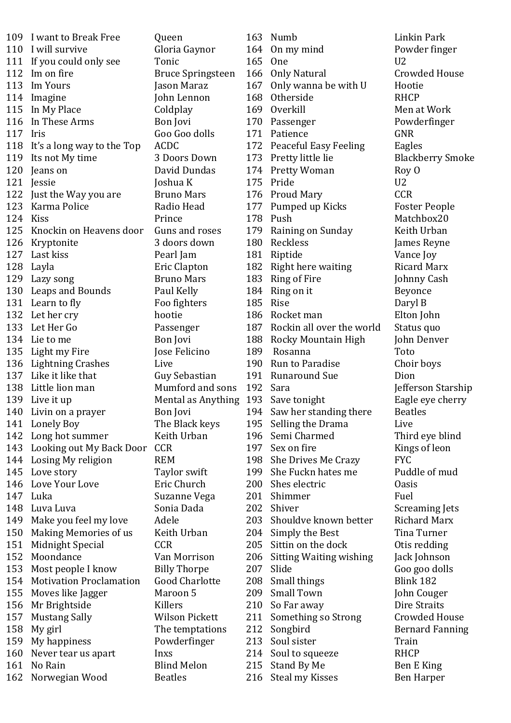|     | 109 I want to Break Free       | Queen                               |     | 163 Numb                      | Linkin Park                |
|-----|--------------------------------|-------------------------------------|-----|-------------------------------|----------------------------|
| 110 | I will survive                 | Gloria Gaynor                       | 164 | On my mind                    | Powder fing                |
| 111 | If you could only see          | Tonic                               | 165 | One                           | U <sub>2</sub>             |
| 112 | Im on fire                     | <b>Bruce Springsteen</b>            | 166 | <b>Only Natural</b>           | Crowded Ho                 |
| 113 | Im Yours                       | Jason Maraz                         | 167 | Only wanna be with U          | Hootie                     |
| 114 | Imagine                        | John Lennon                         | 168 | Otherside                     | <b>RHCP</b>                |
| 115 | In My Place                    | Coldplay                            |     | 169 Overkill                  | Men at Wor.                |
| 116 | In These Arms                  | Bon Jovi                            | 170 | Passenger                     | Powderfing                 |
| 117 | Iris                           | Goo Goo dolls                       | 171 | Patience                      | <b>GNR</b>                 |
| 118 | It's a long way to the Top     | <b>ACDC</b>                         |     | 172 Peaceful Easy Feeling     | Eagles                     |
| 119 | Its not My time                | 3 Doors Down                        |     | 173 Pretty little lie         | Blackberry !               |
| 120 | Jeans on                       | David Dundas                        |     | 174 Pretty Woman              | Roy O                      |
| 121 | Jessie                         | Joshua K                            |     | 175 Pride                     | U <sub>2</sub>             |
| 122 | Just the Way you are           | <b>Bruno Mars</b>                   |     | 176 Proud Mary                | <b>CCR</b>                 |
| 123 | Karma Police                   | Radio Head                          | 177 | Pumped up Kicks               | <b>Foster Peop</b>         |
| 124 | Kiss                           | Prince                              |     | 178 Push                      | Matchbox20                 |
| 125 | Knockin on Heavens door        | Guns and roses                      |     | 179 Raining on Sunday         | Keith Urban                |
| 126 | Kryptonite                     | 3 doors down                        | 180 | Reckless                      | James Reyn                 |
| 127 | Last kiss                      | Pearl Jam                           |     | 181 Riptide                   | Vance Joy                  |
| 128 | Layla                          | <b>Eric Clapton</b>                 |     | 182 Right here waiting        | <b>Ricard Marx</b>         |
| 129 | Lazy song                      | <b>Bruno Mars</b>                   | 183 | Ring of Fire                  | Johnny Cash                |
|     | 130 Leaps and Bounds           | Paul Kelly                          |     | 184 Ring on it                | Beyonce                    |
|     | 131 Learn to fly               | Foo fighters                        |     | 185 Rise                      | Daryl B                    |
| 132 | Let her cry                    | hootie                              | 186 | Rocket man                    | Elton John                 |
| 133 | Let Her Go                     | Passenger                           |     | 187 Rockin all over the world | Status quo                 |
| 134 | Lie to me                      | Bon Jovi                            | 188 | Rocky Mountain High           | John Denver                |
| 135 | Light my Fire                  | Jose Felicino                       | 189 | Rosanna                       | Toto                       |
|     | 136 Lightning Crashes          | Live                                |     | 190 Run to Paradise           | Choir boys                 |
|     | 137 Like it like that          | Guy Sebastian                       |     | 191 Runaround Sue             | Dion                       |
| 138 | Little lion man                | Mumford and sons                    | 192 | Sara                          | Jefferson Sta              |
|     | 139 Live it up                 | Mental as Anything 193 Save tonight |     |                               | Eagle eye ch               |
|     | 140 Livin on a prayer          | Bon Jovi                            |     | 194 Saw her standing there    | <b>Beatles</b>             |
|     | 141 Lonely Boy                 | The Black keys                      |     | 195 Selling the Drama         | Live                       |
|     | 142 Long hot summer            | Keith Urban                         |     | 196 Semi Charmed              | Third eye bl               |
|     | 143 Looking out My Back Door   | <b>CCR</b>                          | 197 | Sex on fire                   | Kings of leor              |
|     | 144 Losing My religion         | <b>REM</b>                          |     | 198 She Drives Me Crazy       | <b>FYC</b>                 |
| 145 | Love story                     | Taylor swift                        |     | 199 She Fuckn hates me        | Puddle of m                |
| 146 | Love Your Love                 | Eric Church                         |     | 200 Shes electric             | <b>Oasis</b>               |
| 147 | Luka                           | Suzanne Vega                        |     | 201 Shimmer                   | Fuel                       |
| 148 | Luva Luva                      | Sonia Dada                          | 202 | Shiver                        |                            |
| 149 | Make you feel my love          | Adele                               | 203 | Shouldve known better         | Screaming J<br>Richard Mai |
| 150 | Making Memories of us          | Keith Urban                         |     | 204 Simply the Best           | Tina Turner                |
| 151 | Midnight Special               | <b>CCR</b>                          |     | 205 Sittin on the dock        | Otis redding               |
| 152 | Moondance                      | Van Morrison                        |     | 206 Sitting Waiting wishing   | Jack Johnsor               |
|     | 153 Most people I know         | <b>Billy Thorpe</b>                 |     | 207 Slide                     | Goo goo dol                |
| 154 | <b>Motivation Proclamation</b> | Good Charlotte                      |     | 208 Small things              | Blink 182                  |
| 155 | Moves like Jagger              | Maroon 5                            | 209 | <b>Small Town</b>             | John Couger                |
| 156 | Mr Brightside                  | Killers                             |     | 210 So Far away               | Dire Straits               |
| 157 | <b>Mustang Sally</b>           | <b>Wilson Pickett</b>               |     | 211 Something so Strong       | Crowded Ho                 |
| 158 | My girl                        | The temptations                     | 212 | Songbird                      | <b>Bernard Far</b>         |
|     | 159 My happiness               | Powderfinger                        |     | 213 Soul sister               | Train                      |
| 160 | Never tear us apart            | Inxs                                |     | 214 Soul to squeeze           | <b>RHCP</b>                |
| 161 | No Rain                        | <b>Blind Melon</b>                  | 215 | Stand By Me                   | Ben E King                 |
|     | 162 Norwegian Wood             | <b>Beatles</b>                      |     | 216 Steal my Kisses           | <b>Ben Harper</b>          |
|     |                                |                                     |     |                               |                            |

Linkin Park Powder finger Crowded House vith U Hootie RHCP Men at Work Powderfinger <mark>171 GNR</mark><br>171 eeling Eagle **Eagles** Blackberry Smoke Roy O CCR 177 **Pupped UP Foster People** Matchbox20 ay Keith Urban James Reyne Vance Joy ng Ricard Marx Johnny Cash Beyonce Daryl B Elton John he world Status quo High John Denver **Toto** Choir boys Dion Jefferson Starship Eagle eye cherry g there Beatles na Live Third eye blind Kings of leon razy FYC me Puddle of mud 0 asis Fuel Screaming Jets better Richard Marx Tina Turner k Otis redding vishing Jack Johnson Goo goo dolls Blink 182 John Couger Dire Straits rong Crowded House Bernard Fanning **Train** RHCP Ben E King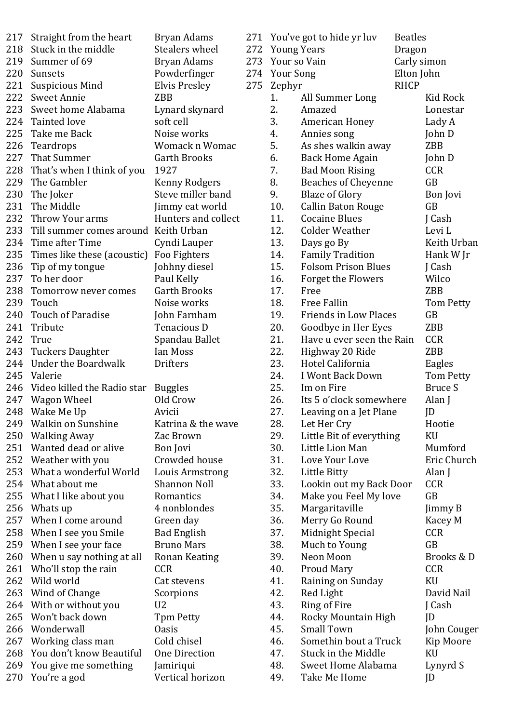| 217 | Straight from the heart                           | Bryan Adams                             |
|-----|---------------------------------------------------|-----------------------------------------|
| 218 | Stuck in the middle                               | <b>Stealers wheel</b>                   |
| 219 | Summer of 69                                      | Bryan Adams                             |
| 220 | Sunsets                                           | Powderfinger                            |
| 221 | <b>Suspicious Mind</b>                            | Elvis Presley                           |
| 222 | <b>Sweet Annie</b>                                | <b>ZBB</b>                              |
| 223 | Sweet home Alabama                                | Lynard skynard                          |
|     | 224 Tainted love                                  | soft cell                               |
|     | 225 Take me Back                                  | Noise works                             |
| 226 | Teardrops                                         | Womack n Womac                          |
| 227 | <b>That Summer</b>                                | <b>Garth Brooks</b>                     |
|     | 228 That's when I think of you                    | 1927                                    |
|     | 229 The Gambler                                   | Kenny Rodgers                           |
| 230 | The Joker                                         | Steve miller band                       |
|     | 231 The Middle                                    | Jimmy eat world                         |
|     | 232 Throw Your arms                               | Hunters and collect                     |
| 233 | Till summer comes around                          | Keith Urban                             |
| 234 | Time after Time                                   | Cyndi Lauper                            |
|     | 235 Times like these (acoustic)                   | Foo Fighters                            |
| 236 | Tip of my tongue                                  | Johhny diesel                           |
|     | 237 To her door                                   | Paul Kelly                              |
| 238 | Tomorrow never comes                              | <b>Garth Brooks</b>                     |
| 239 | Touch                                             | Noise works                             |
| 240 | <b>Touch of Paradise</b>                          | John Farnham                            |
| 241 | Tribute                                           | Tenacious D                             |
| 242 | True                                              | Spandau Ballet                          |
| 243 | <b>Tuckers Daughter</b>                           | <b>Ian Moss</b>                         |
|     |                                                   |                                         |
| 244 | <b>Under the Boardwalk</b>                        | Drifters                                |
| 245 | Valerie                                           |                                         |
|     | 246 Video killed the Radio star                   |                                         |
| 247 |                                                   | <b>Buggles</b><br>Old Crow              |
| 248 | Wagon Wheel<br>Wake Me Up                         | Avicii                                  |
| 249 | <b>Walkin on Sunshine</b>                         | Katrina & the wave                      |
| 250 | <b>Walking Away</b>                               | Zac Brown                               |
| 251 | Wanted dead or alive                              | Bon Jovi                                |
| 252 |                                                   | Crowded house                           |
| 253 | Weather with you<br>What a wonderful World        |                                         |
| 254 | What about me                                     | Louis Armstrong<br>Shannon Noll         |
| 255 | What I like about you                             | Romantics                               |
| 256 | Whats up                                          | 4 nonblondes                            |
| 257 | When I come around                                |                                         |
| 258 |                                                   | Green day                               |
| 259 | When I see you Smile                              | <b>Bad English</b><br><b>Bruno Mars</b> |
| 260 | When I see your face<br>When u say nothing at all | Ronan Keating                           |
| 261 |                                                   | <b>CCR</b>                              |
| 262 | Who'll stop the rain<br>Wild world                | Cat stevens                             |
| 263 |                                                   |                                         |
| 264 | Wind of Change                                    | Scorpions<br>U2                         |
| 265 | With or without you<br>Won't back down            | Tpm Petty                               |
| 266 | Wonderwall                                        | <b>Oasis</b>                            |
| 267 | Working class man                                 | Cold chisel                             |
| 268 | You don't know Beautiful                          | <b>One Direction</b>                    |
| 269 | You give me something                             | Jamiriqui                               |

|     |                    | 271 You've got to hide yr luv | <b>Beatles</b> |                  |
|-----|--------------------|-------------------------------|----------------|------------------|
| 272 | <b>Young Years</b> |                               | Dragon         |                  |
| 273 | Your so Vain       |                               | Carly simon    |                  |
| 274 | <b>Your Song</b>   |                               | Elton John     |                  |
| 275 |                    |                               | <b>RHCP</b>    |                  |
|     | Zephyr<br>1.       |                               |                | <b>Kid Rock</b>  |
|     | 2.                 | All Summer Long<br>Amazed     |                |                  |
|     | 3.                 |                               |                | Lonestar         |
|     | 4.                 | American Honey                |                | Lady A           |
|     | 5.                 | Annies song                   |                | John D           |
|     |                    | As shes walkin away           |                | <b>ZBB</b>       |
|     | 6.                 | <b>Back Home Again</b>        |                | John D           |
|     | 7.                 | <b>Bad Moon Rising</b>        |                | <b>CCR</b>       |
|     | 8.                 | <b>Beaches of Cheyenne</b>    |                | GB               |
|     | 9.                 | <b>Blaze of Glory</b>         |                | Bon Jovi         |
|     | 10.                | <b>Callin Baton Rouge</b>     |                | <b>GB</b>        |
|     | 11.                | <b>Cocaine Blues</b>          |                | J Cash           |
|     | 12.                | <b>Colder Weather</b>         |                | Levi L           |
|     | 13.                | Days go By                    |                | Keith Urban      |
|     | 14.                | <b>Family Tradition</b>       |                | Hank W Jr        |
|     | 15.                | <b>Folsom Prison Blues</b>    |                | J Cash           |
|     | 16.                | Forget the Flowers            |                | Wilco            |
|     | 17.                | Free                          |                | <b>ZBB</b>       |
|     | 18.                | <b>Free Fallin</b>            |                | Tom Petty        |
|     | 19.                | <b>Friends in Low Places</b>  |                | GB               |
|     | 20.                | Goodbye in Her Eyes           |                | ZBB              |
|     | 21.                | Have u ever seen the Rain     |                | <b>CCR</b>       |
|     | 22.                | Highway 20 Ride               |                | ZBB              |
|     | 23.                | Hotel California              |                | Eagles           |
|     | 24.                | I Wont Back Down              |                | <b>Tom Petty</b> |
|     | 25.                | Im on Fire                    |                | <b>Bruce S</b>   |
|     | 26.                | Its 5 o'clock somewhere       |                | Alan J           |
|     | 27.                | Leaving on a Jet Plane        |                | JD               |
|     | 28.                | Let Her Cry                   |                | Hootie           |
|     | 29.                | Little Bit of everything      |                | KU               |
|     | 30.                | Little Lion Man               |                | Mumford          |
|     | 31.                | Love Your Love                |                | Eric Church      |
|     | 32.                | Little Bitty                  |                | Alan J           |
|     | 33.                | Lookin out my Back Door       |                | <b>CCR</b>       |
|     | 34.                | Make you Feel My love         |                | GB               |
|     | 35.                | Margaritaville                |                | Jimmy B          |
|     | 36.                | Merry Go Round                |                | Kacey M          |
|     | 37.                | Midnight Special              |                | <b>CCR</b>       |
|     | 38.                | Much to Young                 |                | GB               |
|     | 39.                | Neon Moon                     |                | Brooks & D       |
|     | 40.                | <b>Proud Mary</b>             |                | <b>CCR</b>       |
|     | 41.                | Raining on Sunday             |                | KU               |
|     | 42.                | Red Light                     |                | David Nail       |
|     | 43.                | Ring of Fire                  |                | J Cash           |
|     | 44.                | Rocky Mountain High           |                | JD               |
|     | 45.                | <b>Small Town</b>             |                | John Couger      |
|     | 46.                | Somethin bout a Truck         |                | Kip Moore        |
|     | 47.                | <b>Stuck in the Middle</b>    |                | KU               |
|     | 48.                | Sweet Home Alabama            |                | Lynyrd S         |
|     | 49.                | Take Me Home                  |                | JD               |